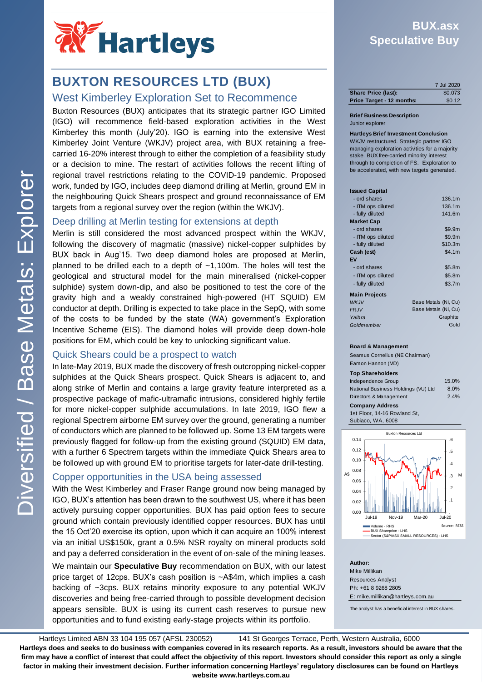

# **BUXTON RESOURCES LTD (BUX)**

### West Kimberley Exploration Set to Recommence

Buxton Resources (BUX) anticipates that its strategic partner IGO Limited (IGO) will recommence field-based exploration activities in the West Kimberley this month (July'20). IGO is earning into the extensive West Kimberley Joint Venture (WKJV) project area, with BUX retaining a freecarried 16-20% interest through to either the completion of a feasibility study or a decision to mine. The restart of activities follows the recent lifting of regional travel restrictions relating to the COVID-19 pandemic. Proposed work, funded by IGO, includes deep diamond drilling at Merlin, ground EM in the neighbouring Quick Shears prospect and ground reconnaissance of EM targets from a regional survey over the region (within the WKJV).

### Deep drilling at Merlin testing for extensions at depth

Merlin is still considered the most advanced prospect within the WKJV, following the discovery of magmatic (massive) nickel-copper sulphides by BUX back in Aug'15. Two deep diamond holes are proposed at Merlin, planned to be drilled each to a depth of ~1,100m. The holes will test the geological and structural model for the main mineralised (nickel-copper sulphide) system down-dip, and also be positioned to test the core of the gravity high and a weakly constrained high-powered (HT SQUID) EM conductor at depth. Drilling is expected to take place in the SepQ, with some of the costs to be funded by the state (WA) government's Exploration Incentive Scheme (EIS). The diamond holes will provide deep down-hole positions for EM, which could be key to unlocking significant value.

### Quick Shears could be a prospect to watch

In late-May 2019, BUX made the discovery of fresh outcropping nickel-copper sulphides at the Quick Shears prospect. Quick Shears is adjacent to, and along strike of Merlin and contains a large gravity feature interpreted as a prospective package of mafic-ultramafic intrusions, considered highly fertile for more nickel-copper sulphide accumulations. In late 2019, IGO flew a regional Spectrem airborne EM survey over the ground, generating a number of conductors which are planned to be followed up. Some 13 EM targets were previously flagged for follow-up from the existing ground (SQUID) EM data, with a further 6 Spectrem targets within the immediate Quick Shears area to be followed up with ground EM to prioritise targets for later-date drill-testing.

### Copper opportunities in the USA being assessed

With the West Kimberley and Fraser Range ground now being managed by IGO, BUX's attention has been drawn to the southwest US, where it has been actively pursuing copper opportunities. BUX has paid option fees to secure ground which contain previously identified copper resources. BUX has until the 15 Oct'20 exercise its option, upon which it can acquire an 100% interest via an initial US\$150k, grant a 0.5% NSR royalty on mineral products sold and pay a deferred consideration in the event of on-sale of the mining leases.

We maintain our **Speculative Buy** recommendation on BUX, with our latest price target of 12cps. BUX's cash position is ~A\$4m, which implies a cash backing of ~3cps. BUX retains minority exposure to any potential WKJV discoveries and being free-carried through to possible development decision appears sensible. BUX is using its current cash reserves to pursue new opportunities and to fund existing early-stage projects within its portfolio.

## **BUX.asx Speculative Buy**

|                           | 7 Jul 2020 |
|---------------------------|------------|
| Share Price (last):       | \$0.073    |
| Price Target - 12 months: | \$0.12     |

### **Brief Business Description** Junior explorer

**Hartleys Brief Investment Conclusion** WKJV restructured. Strategic partner IGO managing exploration activities for a majority stake. BUX free-carried minority interest through to completion of FS. Exploration to be accelerated, with new targets generated.

| <b>Issued Capital</b> |                      |
|-----------------------|----------------------|
| - ord shares          | 136.1m               |
| - ITM ops diluted     | 136.1m               |
| - fully diluted       | 141.6m               |
| <b>Market Cap</b>     |                      |
| - ord shares          | \$9.9m               |
| - ITM ops diluted     | \$9.9m               |
| - fully diluted       | \$10.3m              |
| Cash (est)            | \$4.1m               |
| EV                    |                      |
| - ord shares          | \$5.8m               |
| - ITM ops diluted     | \$5.8m               |
| - fully diluted       | \$3.7m               |
| <b>Main Projects</b>  |                      |
| <b>WKJV</b>           | Base Metals (Ni, Cu) |
| <b>FRJV</b>           | Base Metals (Ni, Cu) |
|                       |                      |

#### *Yalbra Goldmember* Gold iraphite

### **Board & Management**

Seamus Cornelius (NE Chairman) Eamon Hannon (MD)

### **Top Shareholders**

| 15.0% |
|-------|
| 8.0%  |
| 2.4%  |
|       |
|       |
|       |
|       |



**Author:** Mike Millikan Resources Analyst Ph: +61 8 9268 2805 E: mike.millikan@hartleys.com.au

The analyst has a beneficial interest in BUX shares.

Hartleys Limited ABN 33 104 195 057 (AFSL 230052) 141 St Georges Terrace, Perth, Western Australia, 6000 Hartleys Limited ABN 33 104 195 057 (AFSL 230052) **Hartleys does and seeks to do business with companies covered in its research reports. As a result, investors should be aware that the** firm may have a conflict of interest that could affect the objectivity of this report. Investors should consider this report as only a single factor in making their investment decision. Further information concerning Hartleys' regulatory disclosures can be found on Hartleys website www.hartleys.com.au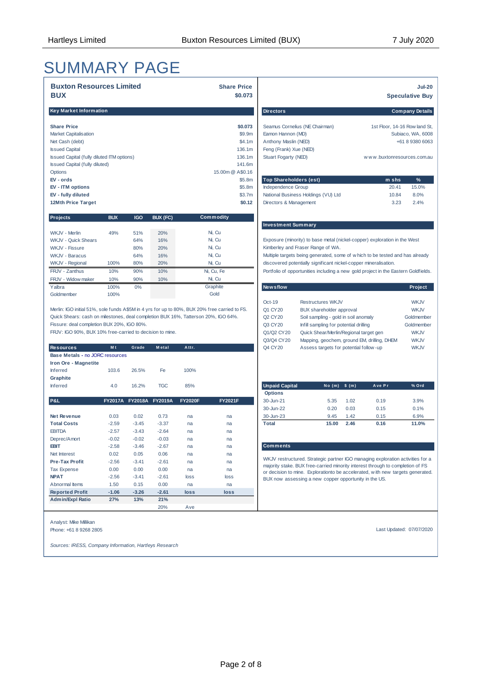# SUMMARY PAGE

| <b>Buxton Resources Limited</b><br><b>BUX</b> | <b>Share Price</b><br>\$0,073 |                                     |                               | <b>Jul-20</b><br><b>Speculative Buy</b> |
|-----------------------------------------------|-------------------------------|-------------------------------------|-------------------------------|-----------------------------------------|
| Key Market Information                        |                               | <b>Directors</b>                    |                               | <b>Company Details</b>                  |
| <b>Share Price</b>                            | \$0.073                       | Seamus Cornelius (NE Chairman)      | 1st Floor, 14-16 Row land St, |                                         |
| <b>Market Capitalisation</b>                  | \$9.9 <sub>m</sub>            | Eamon Hannon (MD)                   |                               | Subiaco, WA, 6008                       |
| Net Cash (debt)                               | \$4.1m                        | Anthony Maslin (NED)                |                               | +61 8 9380 6063                         |
| <b>Issued Capital</b>                         | 136.1m                        | Feng (Frank) Xue (NED)              |                               |                                         |
| Issued Capital (fully diluted ITM options)    | 136.1m                        | Stuart Fogarty (NED)                | www.buxtonresources.com.au    |                                         |
| <b>Issued Capital (fully diluted)</b>         | 141.6m                        |                                     |                               |                                         |
| Options                                       | 15,00m @ A\$0.16              |                                     |                               |                                         |
| $EV - or ds$                                  | \$5.8m                        | <b>Top Shareholders (est)</b>       | m shs                         | %                                       |
| EV - ITM options                              | \$5.8m                        | Independence Group                  | 20.41                         | 15.0%                                   |
| EV - fully diluted                            | \$3.7m                        | National Business Holdings (VU) Ltd | 10.84                         | 8.0%                                    |
| 12Mth Price Target                            | \$0.12                        | Directors & Management              | 3.23                          | 2.4%                                    |

| <b>Projects</b>            | <b>BUX</b> | <b>IGO</b> | BUX (FC) | Commodity  |                                                                                  |
|----------------------------|------------|------------|----------|------------|----------------------------------------------------------------------------------|
|                            |            |            |          |            | <b>Investment Summary</b>                                                        |
| WKJV - Merlin              | 49%        | 51%        | 20%      | Ni. Cu     |                                                                                  |
| <b>WKJV - Quick Shears</b> |            | 64%        | 16%      | Ni. Cu     | Exposure (minority) to base metal (nickel-copper) exploration in the West        |
| WKJV - Fissure             |            | 80%        | 20%      | Ni, Cu     | Kimberley and Fraser Range of WA.                                                |
| WKJV - Baracus             |            | 64%        | 16%      | Ni, Cu     | Multiple targets being generated, some of w hich to be tested and has alread     |
| WKJV - Regional            | 100%       | 80%        | 20%      | Ni. Cu     | discovered potentially significant nickel-copper mineralisation.                 |
| FRJV - Zanthus             | 10%        | 90%        | 10%      | Ni, Cu, Fe | Portfolio of opportunities including a new gold project in the Eastern Goldfield |
| FRJV - Widow maker         | 10%        | 90%        | 10%      | Ni, Cu     |                                                                                  |
| Yalbra                     | 100%       | $0\%$      |          | Graphite   | <b>Newsflow</b><br>Project                                                       |
| Goldmember                 | 100%       |            |          | Gold       |                                                                                  |

Fissure: deal completion BUX 20%, IGO 80%. Quick Shears: cash on milestones, deal completion BUX 16%, Tatterson 20%, IGO 64%. Merlin: IGO initial 51%, sole funds A\$5M in 4 yrs for up to 80%, BUX 20% free carried to FS.

FRJV: IGO 90%, BUX 10% free-carried to decision to mine.

| <b>Resources</b>                | M <sub>t</sub> | Grade          | <b>Metal</b>   | Attr.          |                | Q4 CY 20              | Assess targets for potential follow-up                                                                                                                        |        |        | <b>WKJV</b> |
|---------------------------------|----------------|----------------|----------------|----------------|----------------|-----------------------|---------------------------------------------------------------------------------------------------------------------------------------------------------------|--------|--------|-------------|
| Base Metals - no JORC resources |                |                |                |                |                |                       |                                                                                                                                                               |        |        |             |
| Iron Ore - Magnetite            |                |                |                |                |                |                       |                                                                                                                                                               |        |        |             |
| <b>Inferred</b>                 | 103.6          | 26.5%          | Fe             | 100%           |                |                       |                                                                                                                                                               |        |        |             |
| Graphite                        |                |                |                |                |                |                       |                                                                                                                                                               |        |        |             |
| Inferred                        | 4.0            | 16.2%          | <b>TGC</b>     | 85%            |                | <b>Unpaid Capital</b> | No(m)                                                                                                                                                         | \$ (m) | Ave Pr | % Ord       |
|                                 |                |                |                |                |                | <b>Options</b>        |                                                                                                                                                               |        |        |             |
| <b>P&amp;L</b>                  | <b>FY2017A</b> | <b>FY2018A</b> | <b>FY2019A</b> | <b>FY2020F</b> | <b>FY2021F</b> | 30-Jun-21             | 5.35                                                                                                                                                          | 1.02   | 0.19   | 3.9%        |
|                                 |                |                |                |                |                | 30-Jun-22             | 0.20                                                                                                                                                          | 0.03   | 0.15   | 0.1%        |
| <b>Net Revenue</b>              | 0.03           | 0.02           | 0.73           | na             | na             | 30-Jun-23             | 9.45                                                                                                                                                          | 1.42   | 0.15   | 6.9%        |
| <b>Total Costs</b>              | $-2.59$        | $-3.45$        | $-3.37$        | na             | na             | <b>Total</b>          | 15.00                                                                                                                                                         | 2.46   | 0.16   | 11.0%       |
| <b>EBITDA</b>                   | $-2.57$        | $-3.43$        | $-2.64$        | na             | na             |                       |                                                                                                                                                               |        |        |             |
| Deprec/Amort                    | $-0.02$        | $-0.02$        | $-0.03$        | na             | na             |                       |                                                                                                                                                               |        |        |             |
| EBIT                            | $-2.58$        | $-3.46$        | $-2.67$        | na             | na             | <b>Comments</b>       |                                                                                                                                                               |        |        |             |
| Net Interest                    | 0.02           | 0.05           | 0.06           | na             | na             |                       |                                                                                                                                                               |        |        |             |
| <b>Pre-Tax Profit</b>           | $-2.56$        | $-3.41$        | $-2.61$        | na             | na             |                       | WKJV restructured. Strategic partner IGO managing exploration activities fo                                                                                   |        |        |             |
| <b>Tax Expense</b>              | 0.00           | 0.00           | 0.00           | na             | na             |                       | majority stake. BUX free-carried minority interest through to completion of FS<br>or decision to mine. Explorationto be accelerated, with new targets generat |        |        |             |
| <b>NPAT</b>                     | $-2.56$        | $-3.41$        | $-2.61$        | loss           | loss           |                       | BUX now assessing a new copper opportunity in the US.                                                                                                         |        |        |             |
| Abnormal Items                  | 1.50           | 0.15           | 0.00           | na             | na             |                       |                                                                                                                                                               |        |        |             |
| <b>Reported Profit</b>          | $-1.06$        | $-3.26$        | $-2.61$        | loss           | loss           |                       |                                                                                                                                                               |        |        |             |
| <b>Admin/Expl Ratio</b>         | 27%            | 13%            | 21%            |                |                |                       |                                                                                                                                                               |        |        |             |
|                                 |                |                | 20%            | Ave            |                |                       |                                                                                                                                                               |        |        |             |

| Analyst: Mike Millikan |  |  |
|------------------------|--|--|
|                        |  |  |

Phone: +61 8 9268 2805

*Sources: IRESS, Company Information, Hartleys Research*

|                                | $Jul-20$<br><b>Speculative Buy</b> |  |  |  |  |
|--------------------------------|------------------------------------|--|--|--|--|
| <b>Directors</b>               | <b>Company Details</b>             |  |  |  |  |
| Seamus Cornelius (NE Chairman) | 1st Floor, 14-16 Row land St.      |  |  |  |  |
| Eamon Hannon (MD)              | Subiaco, WA, 6008                  |  |  |  |  |
| Anthony Maslin (NED)           | +61 8 9380 6063                    |  |  |  |  |
| Feng (Frank) Xue (NED)         |                                    |  |  |  |  |
| Stuart Fogarty (NED)           | www.buxtonresources.com.au         |  |  |  |  |
|                                |                                    |  |  |  |  |
|                                |                                    |  |  |  |  |
| <b>Top Shareholders (est)</b>  | $\%$<br>m shs                      |  |  |  |  |
| Indonendones Croup             | $4E$ 00/<br>20.11                  |  |  |  |  |

| <b>TOP ONE CHORGES</b> (CST)        | .     | ,,,   |  |
|-------------------------------------|-------|-------|--|
| Independence Group                  | 2041  | 15.0% |  |
| National Business Holdings (VU) Ltd | 10.84 | 8.0%  |  |
| Directors & Management              | 3.23  | 2.4%  |  |
|                                     |       |       |  |

### **Investment Summary**

| <b>Newsflow</b> |                                             | Project     |
|-----------------|---------------------------------------------|-------------|
|                 |                                             |             |
| $Oct-19$        | Restructures WKJV                           | WK.JV       |
| Q1 CY 20        | <b>BUX</b> shareholder approval             | <b>WKJV</b> |
| Q2 CY 20        | Soil sampling - gold in soil anomaly        | Goldmember  |
| Q3 CY 20        | Infill sampling for potential drilling      | Goldmember  |
| Q1/Q2 CY 20     | Quick Shear/Merlin/Regional target gen      | <b>WKJV</b> |
| Q3/Q4 CY20      | Mapping, geochem, ground EM, drilling, DHEM | WK.JV       |
| Q4 CY 20        | Assess targets for potential follow-up      | <b>WKJV</b> |

| <b>Unpaid Capital</b> | No(m) | \$ (m) | Ave Pr | % Ord |
|-----------------------|-------|--------|--------|-------|
| <b>Options</b>        |       |        |        |       |
| 30-Jun-21             | 5.35  | 1.02   | 0.19   | 3.9%  |
| 30-Jun-22             | 0.20  | 0.03   | 0.15   | 0.1%  |
| 30-Jun-23             | 9.45  | 142    | 0.15   | 6.9%  |
| Total                 | 15.00 | 2.46   | 0.16   | 11.0% |

### **Comments**

Last Updated: 07/07/2020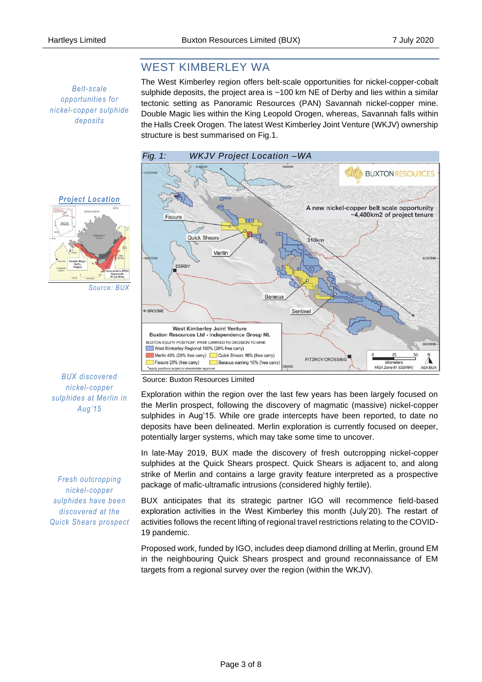# WEST KIMBERLEY WA

*Belt-scale opportunities for nickel-copper sulphide deposits* 

The West Kimberley region offers belt-scale opportunities for nickel-copper-cobalt sulphide deposits, the project area is ~100 km NE of Derby and lies within a similar tectonic setting as Panoramic Resources (PAN) Savannah nickel-copper mine. Double Magic lies within the King Leopold Orogen, whereas, Savannah falls within the Halls Creek Orogen. The latest West Kimberley Joint Venture (WKJV) ownership structure is best summarised on Fig.1.



# *Project Location*

*Fresh outcropping nickel-copper sulphides have been discovered at the Quick Shears prospect*

### Source: Buxton Resources Limited

Exploration within the region over the last few years has been largely focused on the Merlin prospect, following the discovery of magmatic (massive) nickel-copper sulphides in Aug'15. While ore grade intercepts have been reported, to date no deposits have been delineated. Merlin exploration is currently focused on deeper, potentially larger systems, which may take some time to uncover.

In late-May 2019, BUX made the discovery of fresh outcropping nickel-copper sulphides at the Quick Shears prospect. Quick Shears is adjacent to, and along strike of Merlin and contains a large gravity feature interpreted as a prospective package of mafic-ultramafic intrusions (considered highly fertile).

BUX anticipates that its strategic partner IGO will recommence field-based exploration activities in the West Kimberley this month (July'20). The restart of activities follows the recent lifting of regional travel restrictions relating to the COVID-19 pandemic.

Proposed work, funded by IGO, includes deep diamond drilling at Merlin, ground EM in the neighbouring Quick Shears prospect and ground reconnaissance of EM targets from a regional survey over the region (within the WKJV).

*Source: BUX*

*BUX discovered nickel-copper sulphides at Merlin in Aug'15*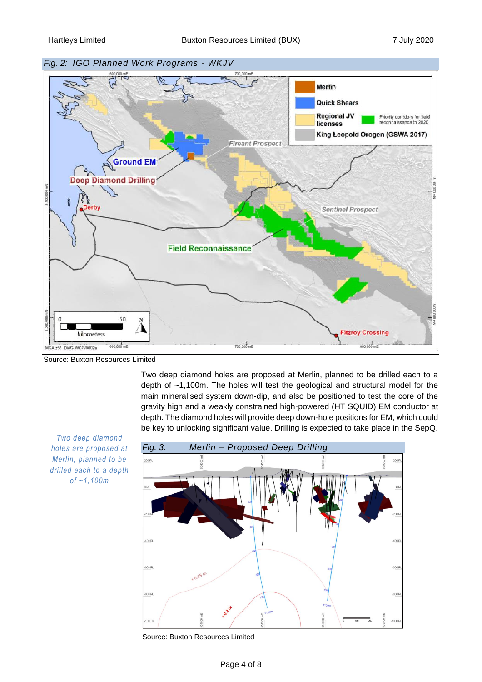

Source: Buxton Resources Limited

Two deep diamond holes are proposed at Merlin, planned to be drilled each to a depth of ~1,100m. The holes will test the geological and structural model for the main mineralised system down-dip, and also be positioned to test the core of the gravity high and a weakly constrained high-powered (HT SQUID) EM conductor at depth. The diamond holes will provide deep down-hole positions for EM, which could be key to unlocking significant value. Drilling is expected to take place in the SepQ.

*Two deep diamond holes are proposed at Merlin, planned to be drilled each to a depth of ~1,100m*



Source: Buxton Resources Limited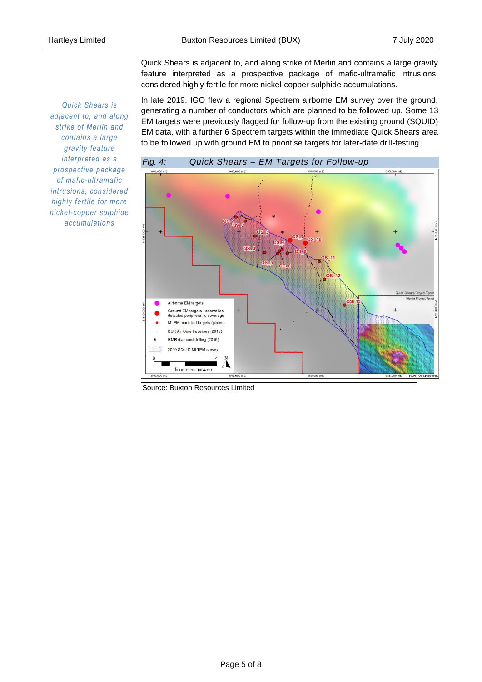*Quick Shears is adjacent to, and along strike of Merlin and contains a large gravity feature interpreted as a prospective package of mafic-ultramafic intrusions, considered highly fertile for more nickel-copper sulphide accumulations*

Quick Shears is adjacent to, and along strike of Merlin and contains a large gravity feature interpreted as a prospective package of mafic-ultramafic intrusions, considered highly fertile for more nickel-copper sulphide accumulations.

In late 2019, IGO flew a regional Spectrem airborne EM survey over the ground, generating a number of conductors which are planned to be followed up. Some 13 EM targets were previously flagged for follow-up from the existing ground (SQUID) EM data, with a further 6 Spectrem targets within the immediate Quick Shears area to be followed up with ground EM to prioritise targets for later-date drill-testing.



Source: Buxton Resources Limited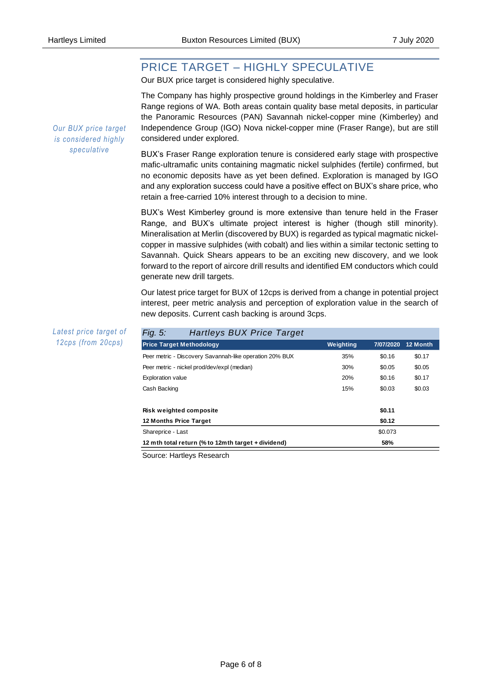# PRICE TARGET – HIGHLY SPECULATIVE

Our BUX price target is considered highly speculative.

The Company has highly prospective ground holdings in the Kimberley and Fraser Range regions of WA. Both areas contain quality base metal deposits, in particular the Panoramic Resources (PAN) Savannah nickel-copper mine (Kimberley) and Independence Group (IGO) Nova nickel-copper mine (Fraser Range), but are still considered under explored.

BUX's Fraser Range exploration tenure is considered early stage with prospective mafic-ultramafic units containing magmatic nickel sulphides (fertile) confirmed, but no economic deposits have as yet been defined. Exploration is managed by IGO and any exploration success could have a positive effect on BUX's share price, who retain a free-carried 10% interest through to a decision to mine.

BUX's West Kimberley ground is more extensive than tenure held in the Fraser Range, and BUX's ultimate project interest is higher (though still minority). Mineralisation at Merlin (discovered by BUX) is regarded as typical magmatic nickelcopper in massive sulphides (with cobalt) and lies within a similar tectonic setting to Savannah. Quick Shears appears to be an exciting new discovery, and we look forward to the report of aircore drill results and identified EM conductors which could generate new drill targets.

Our latest price target for BUX of 12cps is derived from a change in potential project interest, peer metric analysis and perception of exploration value in the search of new deposits. Current cash backing is around 3cps.

| <b>Hartleys BUX Price Target</b><br>Fig. 5:             |           |           |          |
|---------------------------------------------------------|-----------|-----------|----------|
| <b>Price Target Methodology</b>                         | Weighting | 7/07/2020 | 12 Month |
| Peer metric - Discovery Savannah-like operation 20% BUX | 35%       | \$0.16    | \$0.17   |
| Peer metric - nickel prod/dev/expl (median)             | 30%       | \$0.05    | \$0.05   |
| <b>Exploration value</b>                                | 20%       | \$0.16    | \$0.17   |
| Cash Backing                                            | 15%       | \$0.03    | \$0.03   |
| Risk weighted composite                                 |           | \$0.11    |          |
| 12 Months Price Target                                  |           | \$0.12    |          |
|                                                         |           |           |          |
| Shareprice - Last                                       |           | \$0.073   |          |
| 12 mth total return (% to 12mth target + dividend)      |           | 58%       |          |

Source: Hartleys Research

*Our BUX price target is considered highly speculative*

*Latest price target of 12cps (from 20cps)*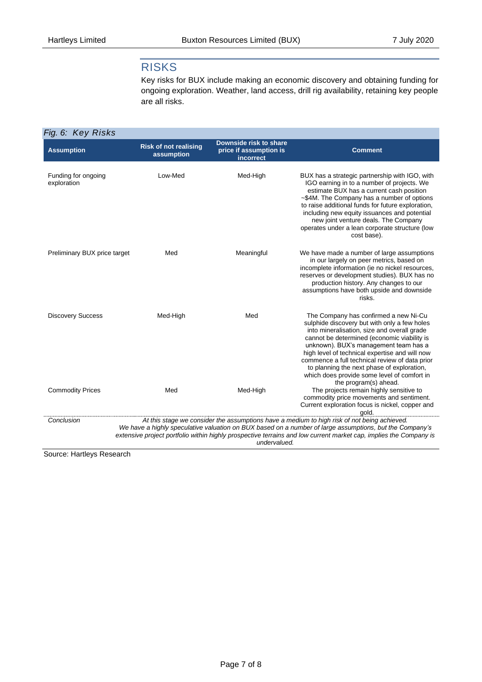## RISKS

Key risks for BUX include making an economic discovery and obtaining funding for ongoing exploration. Weather, land access, drill rig availability, retaining key people are all risks.

| Fig. 6: Key Risks                  |                                            |                                                               |                                                                                                                                                                                                                                                                                                                                                                                                                               |  |  |
|------------------------------------|--------------------------------------------|---------------------------------------------------------------|-------------------------------------------------------------------------------------------------------------------------------------------------------------------------------------------------------------------------------------------------------------------------------------------------------------------------------------------------------------------------------------------------------------------------------|--|--|
| <b>Assumption</b>                  | <b>Risk of not realising</b><br>assumption | Downside risk to share<br>price if assumption is<br>incorrect | <b>Comment</b>                                                                                                                                                                                                                                                                                                                                                                                                                |  |  |
| Funding for ongoing<br>exploration | Low-Med                                    | Med-High                                                      | BUX has a strategic partnership with IGO, with<br>IGO earning in to a number of projects. We<br>estimate BUX has a current cash position<br>~\$4M. The Company has a number of options<br>to raise additional funds for future exploration,<br>including new equity issuances and potential<br>new joint venture deals. The Company<br>operates under a lean corporate structure (low<br>cost base).                          |  |  |
| Preliminary BUX price target       | Med                                        | Meaningful                                                    | We have made a number of large assumptions<br>in our largely on peer metrics, based on<br>incomplete information (ie no nickel resources,<br>reserves or development studies). BUX has no<br>production history. Any changes to our<br>assumptions have both upside and downside<br>risks.                                                                                                                                    |  |  |
| <b>Discovery Success</b>           | Med-High                                   | Med                                                           | The Company has confirmed a new Ni-Cu<br>sulphide discovery but with only a few holes<br>into mineralisation, size and overall grade<br>cannot be determined (economic viability is<br>unknown). BUX's management team has a<br>high level of technical expertise and will now<br>commence a full technical review of data prior<br>to planning the next phase of exploration,<br>which does provide some level of comfort in |  |  |
| <b>Commodity Prices</b>            | Med                                        | Med-High                                                      | the program(s) ahead.<br>The projects remain highly sensitive to<br>commodity price movements and sentiment.<br>Current exploration focus is nickel, copper and<br>qold.                                                                                                                                                                                                                                                      |  |  |
| Conclusion                         |                                            | undervalued.                                                  | At this stage we consider the assumptions have a medium to high risk of not being achieved.<br>We have a highly speculative valuation on BUX based on a number of large assumptions, but the Company's<br>extensive project portfolio within highly prospective terrains and low current market cap, implies the Company is                                                                                                   |  |  |

Source: Hartleys Research